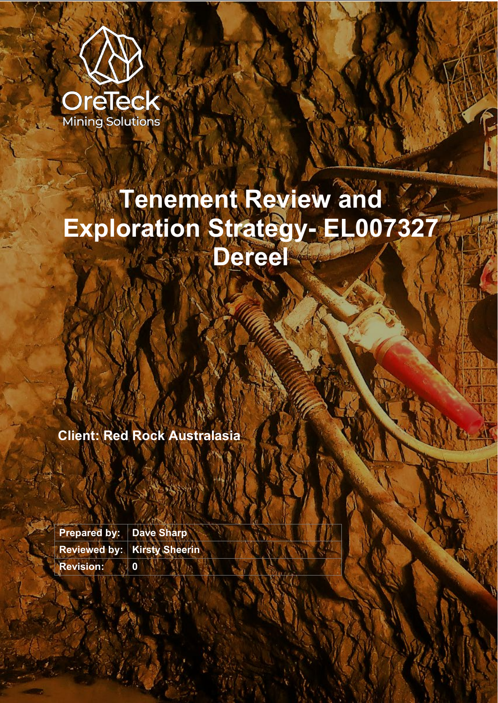

# **Tenement Review and Exploration Strategy- EL007327 Dereel**

**Client: Red Rock Australasia**

**Prepared by: Dave Sharp Reviewed by: Kirsty Sheerin Revision: 0**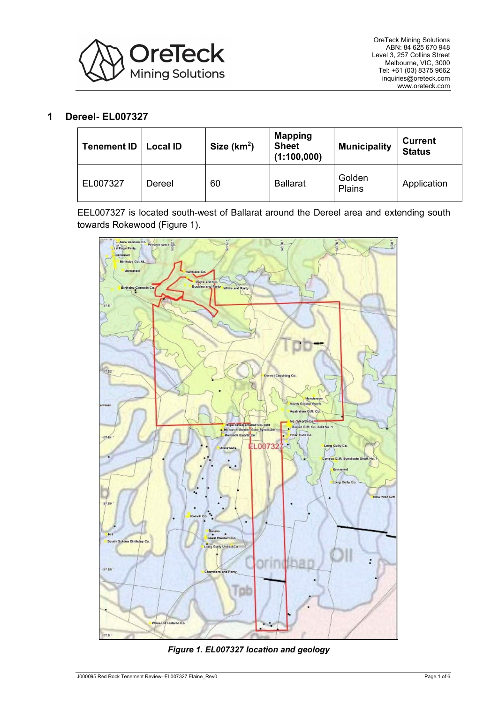

## **1 Dereel- EL007327**

| <b>Tenement ID</b> | <b>Local ID</b> | Size $(km2)$ | <b>Mapping</b><br><b>Sheet</b><br>(1:100,000) | <b>Municipality</b> | <b>Current</b><br><b>Status</b> |
|--------------------|-----------------|--------------|-----------------------------------------------|---------------------|---------------------------------|
| EL007327           | Dereel          | 60           | <b>Ballarat</b>                               | Golden<br>Plains    | Application                     |

EEL007327 is located south-west of Ballarat around the Dereel area and extending south towards Rokewood [\(Figure 1\)](#page-1-0).



<span id="page-1-0"></span>*Figure 1. EL007327 location and geology*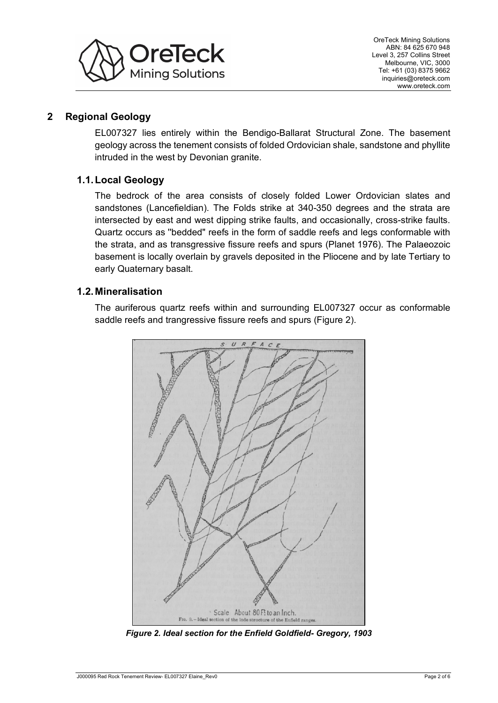

# **2 Regional Geology**

EL007327 lies entirely within the Bendigo-Ballarat Structural Zone. The basement geology across the tenement consists of folded Ordovician shale, sandstone and phyllite intruded in the west by Devonian granite.

# **1.1.Local Geology**

The bedrock of the area consists of closely folded Lower Ordovician slates and sandstones (Lancefieldian). The Folds strike at 340-350 degrees and the strata are intersected by east and west dipping strike faults, and occasionally, cross-strike faults. Quartz occurs as ''bedded" reefs in the form of saddle reefs and legs conformable with the strata, and as transgressive fissure reefs and spurs (Planet 1976). The Palaeozoic basement is locally overlain by gravels deposited in the Pliocene and by late Tertiary to early Quaternary basalt.

## **1.2.Mineralisation**

The auriferous quartz reefs within and surrounding EL007327 occur as conformable saddle reefs and trangressive fissure reefs and spurs [\(Figure 2\)](#page-2-0).



<span id="page-2-0"></span>*Figure 2. Ideal section for the Enfield Goldfield- Gregory, 1903*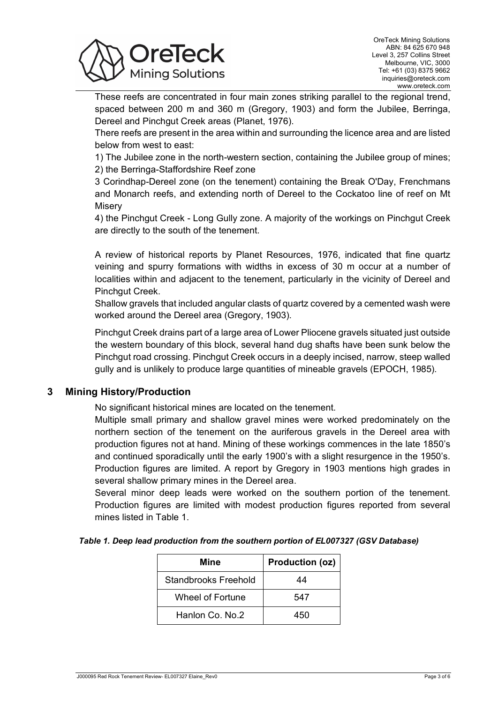

These reefs are concentrated in four main zones striking parallel to the regional trend, spaced between 200 m and 360 m (Gregory, 1903) and form the Jubilee, Berringa, Dereel and Pinchgut Creek areas (Planet, 1976).

There reefs are present in the area within and surrounding the licence area and are listed below from west to east:

1) The Jubilee zone in the north-western section, containing the Jubilee group of mines; 2) the Berringa-Staffordshire Reef zone

3 Corindhap-Dereel zone (on the tenement) containing the Break O'Day, Frenchmans and Monarch reefs, and extending north of Dereel to the Cockatoo line of reef on Mt **Misery** 

4) the Pinchgut Creek - Long Gully zone. A majority of the workings on Pinchgut Creek are directly to the south of the tenement.

A review of historical reports by Planet Resources, 1976, indicated that fine quartz veining and spurry formations with widths in excess of 30 m occur at a number of localities within and adjacent to the tenement, particularly in the vicinity of Dereel and Pinchgut Creek.

Shallow gravels that included angular clasts of quartz covered by a cemented wash were worked around the Dereel area (Gregory, 1903).

Pinchgut Creek drains part of a large area of Lower Pliocene gravels situated just outside the western boundary of this block, several hand dug shafts have been sunk below the Pinchgut road crossing. Pinchgut Creek occurs in a deeply incised, narrow, steep walled gully and is unlikely to produce large quantities of mineable gravels (EPOCH, 1985).

## **3 Mining History/Production**

No significant historical mines are located on the tenement.

Multiple small primary and shallow gravel mines were worked predominately on the northern section of the tenement on the auriferous gravels in the Dereel area with production figures not at hand. Mining of these workings commences in the late 1850's and continued sporadically until the early 1900's with a slight resurgence in the 1950's. Production figures are limited. A report by Gregory in 1903 mentions high grades in several shallow primary mines in the Dereel area.

Several minor deep leads were worked on the southern portion of the tenement. Production figures are limited with modest production figures reported from several mines listed in [Table 1.](#page-3-0)

### <span id="page-3-0"></span>*Table 1. Deep lead production from the southern portion of EL007327 (GSV Database)*

| Mine                 | Production (oz) |  |  |
|----------------------|-----------------|--|--|
| Standbrooks Freehold | 44              |  |  |
| Wheel of Fortune     | 547             |  |  |
| Hanlon Co. No.2      | 450             |  |  |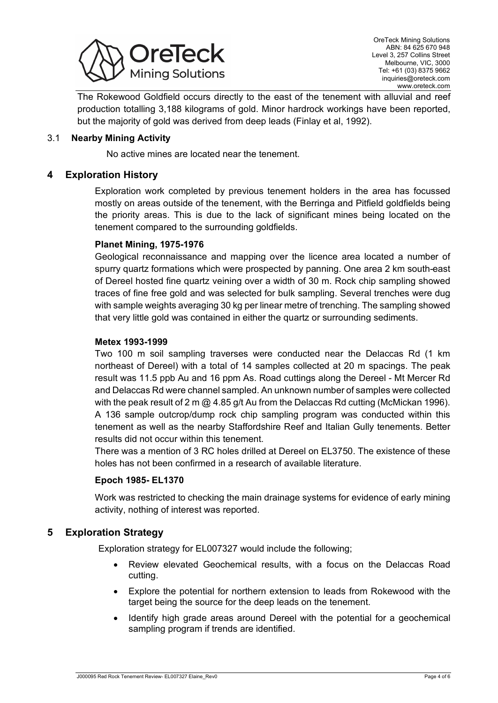

The Rokewood Goldfield occurs directly to the east of the tenement with alluvial and reef production totalling 3,188 kilograms of gold. Minor hardrock workings have been reported, but the majority of gold was derived from deep leads (Finlay et al, 1992).

## 3.1 **Nearby Mining Activity**

No active mines are located near the tenement.

## **4 Exploration History**

Exploration work completed by previous tenement holders in the area has focussed mostly on areas outside of the tenement, with the Berringa and Pitfield goldfields being the priority areas. This is due to the lack of significant mines being located on the tenement compared to the surrounding goldfields.

### **Planet Mining, 1975-1976**

Geological reconnaissance and mapping over the licence area located a number of spurry quartz formations which were prospected by panning. One area 2 km south-east of Dereel hosted fine quartz veining over a width of 30 m. Rock chip sampling showed traces of fine free gold and was selected for bulk sampling. Several trenches were dug with sample weights averaging 30 kg per linear metre of trenching. The sampling showed that very little gold was contained in either the quartz or surrounding sediments.

### **Metex 1993-1999**

Two 100 m soil sampling traverses were conducted near the Delaccas Rd (1 km northeast of Dereel) with a total of 14 samples collected at 20 m spacings. The peak result was 11.5 ppb Au and 16 ppm As. Road cuttings along the Dereel - Mt Mercer Rd and Delaccas Rd were channel sampled. An unknown number of samples were collected with the peak result of 2 m  $\omega$  4.85 g/t Au from the Delaccas Rd cutting (McMickan 1996). A 136 sample outcrop/dump rock chip sampling program was conducted within this tenement as well as the nearby Staffordshire Reef and Italian Gully tenements. Better results did not occur within this tenement.

There was a mention of 3 RC holes drilled at Dereel on EL3750. The existence of these holes has not been confirmed in a research of available literature.

### **Epoch 1985- EL1370**

Work was restricted to checking the main drainage systems for evidence of early mining activity, nothing of interest was reported.

## **5 Exploration Strategy**

Exploration strategy for EL007327 would include the following;

- Review elevated Geochemical results, with a focus on the Delaccas Road cutting.
- Explore the potential for northern extension to leads from Rokewood with the target being the source for the deep leads on the tenement.
- Identify high grade areas around Dereel with the potential for a geochemical sampling program if trends are identified.